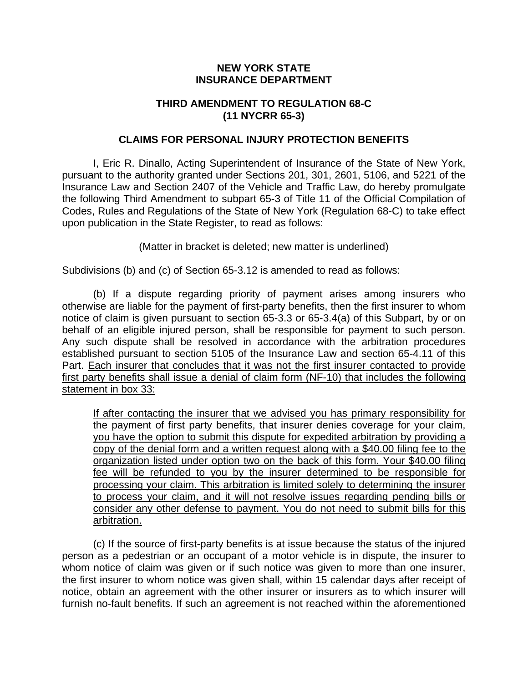## **NEW YORK STATE INSURANCE DEPARTMENT**

## **THIRD AMENDMENT TO REGULATION 68-C (11 NYCRR 65-3)**

## **CLAIMS FOR PERSONAL INJURY PROTECTION BENEFITS**

I, Eric R. Dinallo, Acting Superintendent of Insurance of the State of New York, pursuant to the authority granted under Sections 201, 301, 2601, 5106, and 5221 of the Insurance Law and Section 2407 of the Vehicle and Traffic Law, do hereby promulgate the following Third Amendment to subpart 65-3 of Title 11 of the Official Compilation of Codes, Rules and Regulations of the State of New York (Regulation 68-C) to take effect upon publication in the State Register, to read as follows:

(Matter in bracket is deleted; new matter is underlined)

Subdivisions (b) and (c) of Section 65-3.12 is amended to read as follows:

(b) If a dispute regarding priority of payment arises among insurers who otherwise are liable for the payment of first-party benefits, then the first insurer to whom notice of claim is given pursuant to section 65-3.3 or 65-3.4(a) of this Subpart, by or on behalf of an eligible injured person, shall be responsible for payment to such person. Any such dispute shall be resolved in accordance with the arbitration procedures established pursuant to section 5105 of the Insurance Law and section 65-4.11 of this Part. Each insurer that concludes that it was not the first insurer contacted to provide first party benefits shall issue a denial of claim form (NF-10) that includes the following statement in box 33:

If after contacting the insurer that we advised you has primary responsibility for the payment of first party benefits, that insurer denies coverage for your claim, you have the option to submit this dispute for expedited arbitration by providing a copy of the denial form and a written request along with a \$40.00 filing fee to the organization listed under option two on the back of this form. Your \$40.00 filing fee will be refunded to you by the insurer determined to be responsible for processing your claim. This arbitration is limited solely to determining the insurer to process your claim, and it will not resolve issues regarding pending bills or consider any other defense to payment. You do not need to submit bills for this arbitration.

(c) If the source of first-party benefits is at issue because the status of the injured person as a pedestrian or an occupant of a motor vehicle is in dispute, the insurer to whom notice of claim was given or if such notice was given to more than one insurer, the first insurer to whom notice was given shall, within 15 calendar days after receipt of notice, obtain an agreement with the other insurer or insurers as to which insurer will furnish no-fault benefits. If such an agreement is not reached within the aforementioned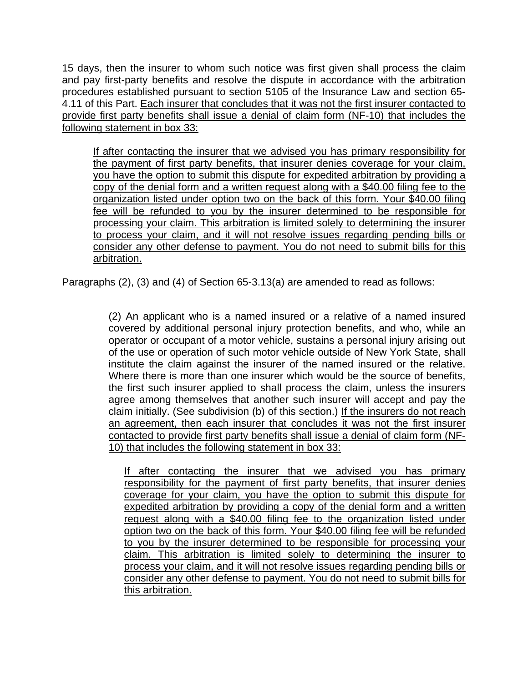15 days, then the insurer to whom such notice was first given shall process the claim and pay first-party benefits and resolve the dispute in accordance with the arbitration procedures established pursuant to section 5105 of the Insurance Law and section 65- 4.11 of this Part. Each insurer that concludes that it was not the first insurer contacted to provide first party benefits shall issue a denial of claim form (NF-10) that includes the following statement in box 33:

If after contacting the insurer that we advised you has primary responsibility for the payment of first party benefits, that insurer denies coverage for your claim, you have the option to submit this dispute for expedited arbitration by providing a copy of the denial form and a written request along with a \$40.00 filing fee to the organization listed under option two on the back of this form. Your \$40.00 filing fee will be refunded to you by the insurer determined to be responsible for processing your claim. This arbitration is limited solely to determining the insurer to process your claim, and it will not resolve issues regarding pending bills or consider any other defense to payment. You do not need to submit bills for this arbitration.

Paragraphs (2), (3) and (4) of Section 65-3.13(a) are amended to read as follows:

(2) An applicant who is a named insured or a relative of a named insured covered by additional personal injury protection benefits, and who, while an operator or occupant of a motor vehicle, sustains a personal injury arising out of the use or operation of such motor vehicle outside of New York State, shall institute the claim against the insurer of the named insured or the relative. Where there is more than one insurer which would be the source of benefits, the first such insurer applied to shall process the claim, unless the insurers agree among themselves that another such insurer will accept and pay the claim initially. (See subdivision (b) of this section.) If the insurers do not reach an agreement, then each insurer that concludes it was not the first insurer contacted to provide first party benefits shall issue a denial of claim form (NF-10) that includes the following statement in box 33:

If after contacting the insurer that we advised you has primary responsibility for the payment of first party benefits, that insurer denies coverage for your claim, you have the option to submit this dispute for expedited arbitration by providing a copy of the denial form and a written request along with a \$40.00 filing fee to the organization listed under option two on the back of this form. Your \$40.00 filing fee will be refunded to you by the insurer determined to be responsible for processing your claim. This arbitration is limited solely to determining the insurer to process your claim, and it will not resolve issues regarding pending bills or consider any other defense to payment. You do not need to submit bills for this arbitration.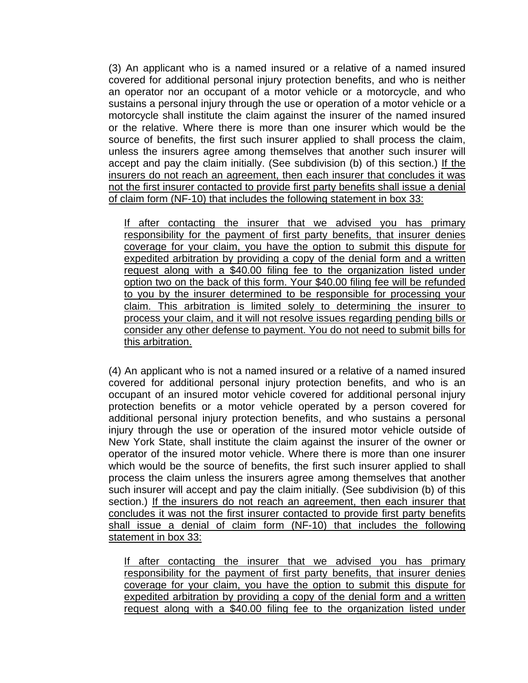(3) An applicant who is a named insured or a relative of a named insured covered for additional personal injury protection benefits, and who is neither an operator nor an occupant of a motor vehicle or a motorcycle, and who sustains a personal injury through the use or operation of a motor vehicle or a motorcycle shall institute the claim against the insurer of the named insured or the relative. Where there is more than one insurer which would be the source of benefits, the first such insurer applied to shall process the claim, unless the insurers agree among themselves that another such insurer will accept and pay the claim initially. (See subdivision (b) of this section.) If the insurers do not reach an agreement, then each insurer that concludes it was not the first insurer contacted to provide first party benefits shall issue a denial of claim form (NF-10) that includes the following statement in box 33:

If after contacting the insurer that we advised you has primary responsibility for the payment of first party benefits, that insurer denies coverage for your claim, you have the option to submit this dispute for expedited arbitration by providing a copy of the denial form and a written request along with a \$40.00 filing fee to the organization listed under option two on the back of this form. Your \$40.00 filing fee will be refunded to you by the insurer determined to be responsible for processing your claim. This arbitration is limited solely to determining the insurer to process your claim, and it will not resolve issues regarding pending bills or consider any other defense to payment. You do not need to submit bills for this arbitration.

(4) An applicant who is not a named insured or a relative of a named insured covered for additional personal injury protection benefits, and who is an occupant of an insured motor vehicle covered for additional personal injury protection benefits or a motor vehicle operated by a person covered for additional personal injury protection benefits, and who sustains a personal injury through the use or operation of the insured motor vehicle outside of New York State, shall institute the claim against the insurer of the owner or operator of the insured motor vehicle. Where there is more than one insurer which would be the source of benefits, the first such insurer applied to shall process the claim unless the insurers agree among themselves that another such insurer will accept and pay the claim initially. (See subdivision (b) of this section.) If the insurers do not reach an agreement, then each insurer that concludes it was not the first insurer contacted to provide first party benefits shall issue a denial of claim form (NF-10) that includes the following statement in box 33:

If after contacting the insurer that we advised you has primary responsibility for the payment of first party benefits, that insurer denies coverage for your claim, you have the option to submit this dispute for expedited arbitration by providing a copy of the denial form and a written request along with a \$40.00 filing fee to the organization listed under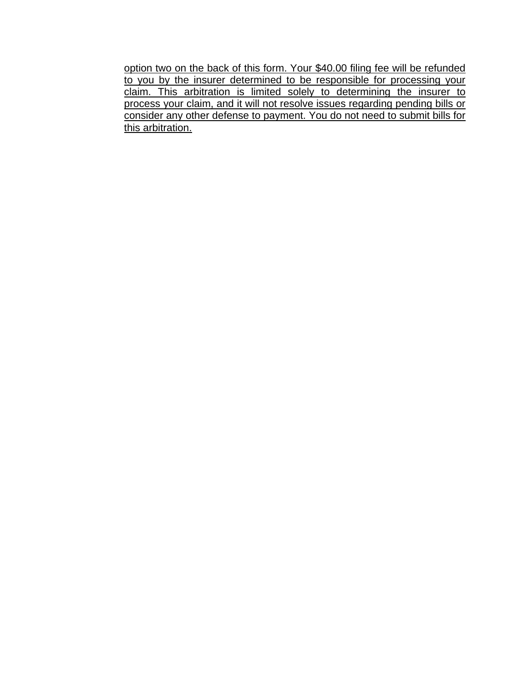option two on the back of this form. Your \$40.00 filing fee will be refunded to you by the insurer determined to be responsible for processing your claim. This arbitration is limited solely to determining the insurer to process your claim, and it will not resolve issues regarding pending bills or consider any other defense to payment. You do not need to submit bills for this arbitration.